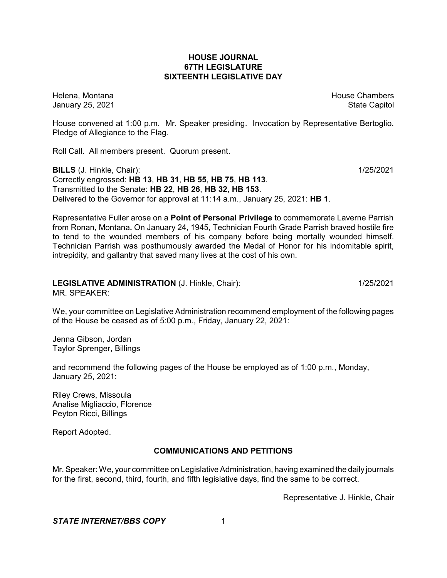# **HOUSE JOURNAL 67TH LEGISLATURE SIXTEENTH LEGISLATIVE DAY**

Helena, Montana **House Chambers** House Chambers **House Chambers** House Chambers **House Chambers** January 25, 2021 **State Capitol** 

House convened at 1:00 p.m. Mr. Speaker presiding. Invocation by Representative Bertoglio. Pledge of Allegiance to the Flag.

Roll Call. All members present. Quorum present.

**BILLS** (J. Hinkle, Chair): 1/25/2021 Correctly engrossed: **HB 13**, **HB 31**, **HB 55**, **HB 75**, **HB 113**. Transmitted to the Senate: **HB 22**, **HB 26**, **HB 32**, **HB 153**. Delivered to the Governor for approval at 11:14 a.m., January 25, 2021: **HB 1**.

Representative Fuller arose on a **Point of Personal Privilege** to commemorate Laverne Parrish from Ronan, Montana**.** On January 24, 1945, Technician Fourth Grade Parrish braved hostile fire to tend to the wounded members of his company before being mortally wounded himself. Technician Parrish was posthumously awarded the Medal of Honor for his indomitable spirit, intrepidity, and gallantry that saved many lives at the cost of his own.

#### **LEGISLATIVE ADMINISTRATION** (J. Hinkle, Chair): 1/25/2021 MR. SPEAKER:

We, your committee on Legislative Administration recommend employment of the following pages of the House be ceased as of 5:00 p.m., Friday, January 22, 2021:

Jenna Gibson, Jordan Taylor Sprenger, Billings

and recommend the following pages of the House be employed as of 1:00 p.m., Monday, January 25, 2021:

Riley Crews, Missoula Analise Migliaccio, Florence Peyton Ricci, Billings

Report Adopted.

# **COMMUNICATIONS AND PETITIONS**

Mr. Speaker: We, your committee on Legislative Administration, having examined the daily journals for the first, second, third, fourth, and fifth legislative days, find the same to be correct.

Representative J. Hinkle, Chair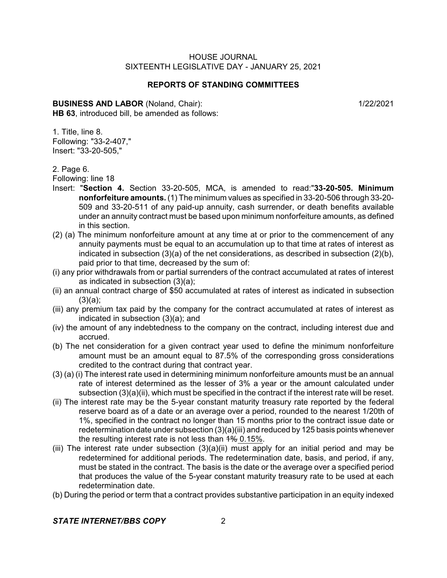### **REPORTS OF STANDING COMMITTEES**

**BUSINESS AND LABOR** (Noland, Chair): 1/22/2021 **HB 63**, introduced bill, be amended as follows:

1. Title, line 8. Following: "33-2-407," Insert: "33-20-505,"

2. Page 6.

Following: line 18

- Insert: "**Section 4.** Section 33-20-505, MCA, is amended to read:"**33-20-505. Minimum nonforfeiture amounts.** (1) The minimum values as specified in 33-20-506 through 33-20- 509 and 33-20-511 of any paid-up annuity, cash surrender, or death benefits available under an annuity contract must be based upon minimum nonforfeiture amounts, as defined in this section.
- (2) (a) The minimum nonforfeiture amount at any time at or prior to the commencement of any annuity payments must be equal to an accumulation up to that time at rates of interest as indicated in subsection (3)(a) of the net considerations, as described in subsection (2)(b), paid prior to that time, decreased by the sum of:
- (i) any prior withdrawals from or partial surrenders of the contract accumulated at rates of interest as indicated in subsection (3)(a);
- (ii) an annual contract charge of \$50 accumulated at rates of interest as indicated in subsection (3)(a);
- (iii) any premium tax paid by the company for the contract accumulated at rates of interest as indicated in subsection (3)(a); and
- (iv) the amount of any indebtedness to the company on the contract, including interest due and accrued.
- (b) The net consideration for a given contract year used to define the minimum nonforfeiture amount must be an amount equal to 87.5% of the corresponding gross considerations credited to the contract during that contract year.
- (3) (a) (i) The interest rate used in determining minimum nonforfeiture amounts must be an annual rate of interest determined as the lesser of 3% a year or the amount calculated under subsection (3)(a)(ii), which must be specified in the contract if the interest rate will be reset.
- (ii) The interest rate may be the 5-year constant maturity treasury rate reported by the federal reserve board as of a date or an average over a period, rounded to the nearest 1/20th of 1%, specified in the contract no longer than 15 months prior to the contract issue date or redetermination date under subsection (3)(a)(iii) and reduced by 125 basis points whenever the resulting interest rate is not less than  $\frac{1}{6}$  0.15%.
- (iii) The interest rate under subsection  $(3)(a)(ii)$  must apply for an initial period and may be redetermined for additional periods. The redetermination date, basis, and period, if any, must be stated in the contract. The basis is the date or the average over a specified period that produces the value of the 5-year constant maturity treasury rate to be used at each redetermination date.
- (b) During the period or term that a contract provides substantive participation in an equity indexed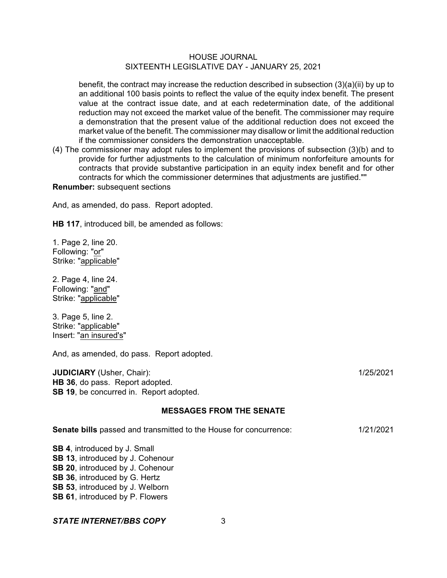benefit, the contract may increase the reduction described in subsection (3)(a)(ii) by up to an additional 100 basis points to reflect the value of the equity index benefit. The present value at the contract issue date, and at each redetermination date, of the additional reduction may not exceed the market value of the benefit. The commissioner may require a demonstration that the present value of the additional reduction does not exceed the market value of the benefit. The commissioner may disallow or limit the additional reduction if the commissioner considers the demonstration unacceptable.

(4) The commissioner may adopt rules to implement the provisions of subsection (3)(b) and to provide for further adjustments to the calculation of minimum nonforfeiture amounts for contracts that provide substantive participation in an equity index benefit and for other contracts for which the commissioner determines that adjustments are justified.""

# **Renumber:** subsequent sections

And, as amended, do pass. Report adopted.

**HB 117**, introduced bill, be amended as follows:

1. Page 2, line 20. Following: "or" Strike: "applicable"

2. Page 4, line 24. Following: "and" Strike: "applicable"

3. Page 5, line 2. Strike: "applicable" Insert: "an insured's"

And, as amended, do pass. Report adopted.

**JUDICIARY** (Usher, Chair): 1/25/2021 **HB 36**, do pass. Report adopted. **SB 19.** be concurred in. Report adopted.

#### **MESSAGES FROM THE SENATE**

**Senate bills** passed and transmitted to the House for concurrence: 1/21/2021

**SB 4**, introduced by J. Small **SB 13**, introduced by J. Cohenour **SB 20**, introduced by J. Cohenour **SB 36**, introduced by G. Hertz **SB 53**, introduced by J. Welborn **SB 61**, introduced by P. Flowers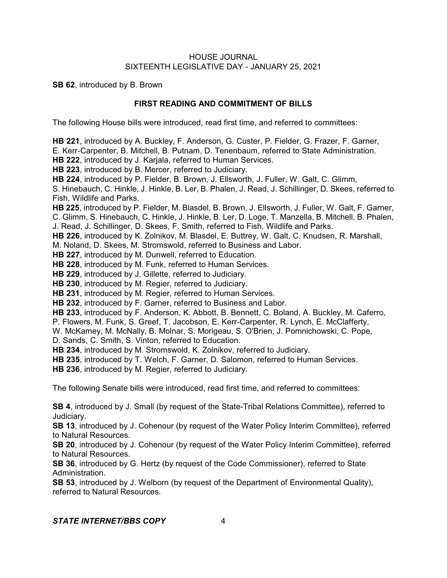**SB 62**, introduced by B. Brown

# **FIRST READING AND COMMITMENT OF BILLS**

The following House bills were introduced, read first time, and referred to committees:

**HB 221**, introduced by A. Buckley, F. Anderson, G. Custer, P. Fielder, G. Frazer, F. Garner,

E. Kerr-Carpenter, B. Mitchell, B. Putnam, D. Tenenbaum, referred to State Administration.

**HB 222**, introduced by J. Karjala, referred to Human Services.

**HB 223**, introduced by B. Mercer, referred to Judiciary.

**HB 224**, introduced by P. Fielder, B. Brown, J. Ellsworth, J. Fuller, W. Galt, C. Glimm,

S. Hinebauch, C. Hinkle, J. Hinkle, B. Ler, B. Phalen, J. Read, J. Schillinger, D. Skees, referred to Fish, Wildlife and Parks.

**HB 225**, introduced by P. Fielder, M. Blasdel, B. Brown, J. Ellsworth, J. Fuller, W. Galt, F. Garner,

C. Glimm, S. Hinebauch, C. Hinkle, J. Hinkle, B. Ler, D. Loge, T. Manzella, B. Mitchell, B. Phalen, J. Read, J. Schillinger, D. Skees, F. Smith, referred to Fish, Wildlife and Parks.

**HB 226**, introduced by K. Zolnikov, M. Blasdel, E. Buttrey, W. Galt, C. Knudsen, R. Marshall,

M. Noland, D. Skees, M. Stromswold, referred to Business and Labor.

**HB 227**, introduced by M. Dunwell, referred to Education.

**HB 228**, introduced by M. Funk, referred to Human Services.

**HB 229**, introduced by J. Gillette, referred to Judiciary.

**HB 230**, introduced by M. Regier, referred to Judiciary.

**HB 231**, introduced by M. Regier, referred to Human Services.

**HB 232**, introduced by F. Garner, referred to Business and Labor.

**HB 233**, introduced by F. Anderson, K. Abbott, B. Bennett, C. Boland, A. Buckley, M. Caferro,

P. Flowers, M. Funk, S. Greef, T. Jacobson, E. Kerr-Carpenter, R. Lynch, E. McClafferty,

W. McKamey, M. McNally, B. Molnar, S. Morigeau, S. O'Brien, J. Pomnichowski, C. Pope,

D. Sands, C. Smith, S. Vinton, referred to Education.

**HB 234**, introduced by M. Stromswold, K. Zolnikov, referred to Judiciary.

**HB 235**, introduced by T. Welch, F. Garner, D. Salomon, referred to Human Services.

**HB 236**, introduced by M. Regier, referred to Judiciary.

The following Senate bills were introduced, read first time, and referred to committees:

**SB 4**, introduced by J. Small (by request of the State-Tribal Relations Committee), referred to Judiciary.

**SB 13**, introduced by J. Cohenour (by request of the Water Policy Interim Committee), referred to Natural Resources.

**SB 20**, introduced by J. Cohenour (by request of the Water Policy Interim Committee), referred to Natural Resources.

**SB 36**, introduced by G. Hertz (by request of the Code Commissioner), referred to State Administration.

**SB 53**, introduced by J. Welborn (by request of the Department of Environmental Quality), referred to Natural Resources.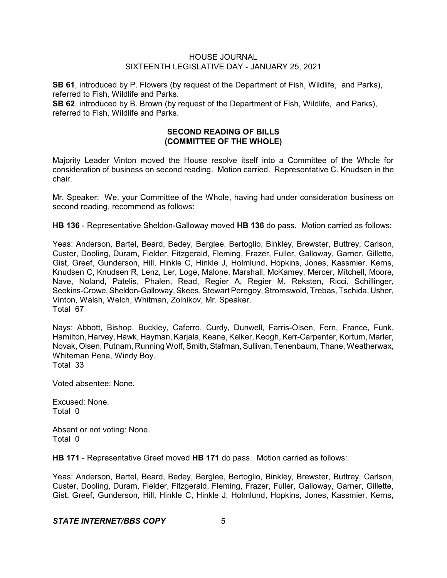**SB 61**, introduced by P. Flowers (by request of the Department of Fish, Wildlife, and Parks), referred to Fish, Wildlife and Parks.

**SB 62**, introduced by B. Brown (by request of the Department of Fish, Wildlife, and Parks), referred to Fish, Wildlife and Parks.

# **SECOND READING OF BILLS (COMMITTEE OF THE WHOLE)**

Majority Leader Vinton moved the House resolve itself into a Committee of the Whole for consideration of business on second reading. Motion carried. Representative C. Knudsen in the chair.

Mr. Speaker: We, your Committee of the Whole, having had under consideration business on second reading, recommend as follows:

**HB 136** - Representative Sheldon-Galloway moved **HB 136** do pass. Motion carried as follows:

Yeas: Anderson, Bartel, Beard, Bedey, Berglee, Bertoglio, Binkley, Brewster, Buttrey, Carlson, Custer, Dooling, Duram, Fielder, Fitzgerald, Fleming, Frazer, Fuller, Galloway, Garner, Gillette, Gist, Greef, Gunderson, Hill, Hinkle C, Hinkle J, Holmlund, Hopkins, Jones, Kassmier, Kerns, Knudsen C, Knudsen R, Lenz, Ler, Loge, Malone, Marshall, McKamey, Mercer, Mitchell, Moore, Nave, Noland, Patelis, Phalen, Read, Regier A, Regier M, Reksten, Ricci, Schillinger, Seekins-Crowe, Sheldon-Galloway, Skees, Stewart Peregoy, Stromswold, Trebas, Tschida, Usher, Vinton, Walsh, Welch, Whitman, Zolnikov, Mr. Speaker. Total 67

Nays: Abbott, Bishop, Buckley, Caferro, Curdy, Dunwell, Farris-Olsen, Fern, France, Funk, Hamilton, Harvey, Hawk, Hayman, Karjala, Keane, Kelker, Keogh, Kerr-Carpenter, Kortum, Marler, Novak, Olsen, Putnam, Running Wolf, Smith, Stafman, Sullivan, Tenenbaum, Thane, Weatherwax, Whiteman Pena, Windy Boy. Total 33

Voted absentee: None.

Excused: None. Total 0

Absent or not voting: None. Total 0

**HB 171** - Representative Greef moved **HB 171** do pass. Motion carried as follows:

Yeas: Anderson, Bartel, Beard, Bedey, Berglee, Bertoglio, Binkley, Brewster, Buttrey, Carlson, Custer, Dooling, Duram, Fielder, Fitzgerald, Fleming, Frazer, Fuller, Galloway, Garner, Gillette, Gist, Greef, Gunderson, Hill, Hinkle C, Hinkle J, Holmlund, Hopkins, Jones, Kassmier, Kerns,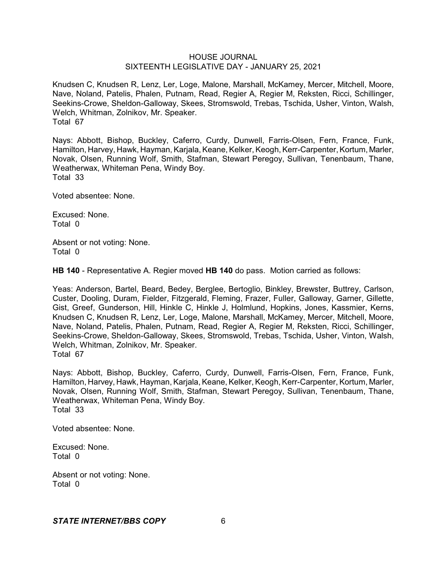Knudsen C, Knudsen R, Lenz, Ler, Loge, Malone, Marshall, McKamey, Mercer, Mitchell, Moore, Nave, Noland, Patelis, Phalen, Putnam, Read, Regier A, Regier M, Reksten, Ricci, Schillinger, Seekins-Crowe, Sheldon-Galloway, Skees, Stromswold, Trebas, Tschida, Usher, Vinton, Walsh, Welch, Whitman, Zolnikov, Mr. Speaker. Total 67

Nays: Abbott, Bishop, Buckley, Caferro, Curdy, Dunwell, Farris-Olsen, Fern, France, Funk, Hamilton, Harvey, Hawk, Hayman, Karjala, Keane, Kelker, Keogh, Kerr-Carpenter, Kortum, Marler, Novak, Olsen, Running Wolf, Smith, Stafman, Stewart Peregoy, Sullivan, Tenenbaum, Thane, Weatherwax, Whiteman Pena, Windy Boy. Total 33

Voted absentee: None.

Excused: None. Total 0

Absent or not voting: None. Total 0

**HB 140** - Representative A. Regier moved **HB 140** do pass. Motion carried as follows:

Yeas: Anderson, Bartel, Beard, Bedey, Berglee, Bertoglio, Binkley, Brewster, Buttrey, Carlson, Custer, Dooling, Duram, Fielder, Fitzgerald, Fleming, Frazer, Fuller, Galloway, Garner, Gillette, Gist, Greef, Gunderson, Hill, Hinkle C, Hinkle J, Holmlund, Hopkins, Jones, Kassmier, Kerns, Knudsen C, Knudsen R, Lenz, Ler, Loge, Malone, Marshall, McKamey, Mercer, Mitchell, Moore, Nave, Noland, Patelis, Phalen, Putnam, Read, Regier A, Regier M, Reksten, Ricci, Schillinger, Seekins-Crowe, Sheldon-Galloway, Skees, Stromswold, Trebas, Tschida, Usher, Vinton, Walsh, Welch, Whitman, Zolnikov, Mr. Speaker. Total 67

Nays: Abbott, Bishop, Buckley, Caferro, Curdy, Dunwell, Farris-Olsen, Fern, France, Funk, Hamilton, Harvey, Hawk, Hayman, Karjala, Keane, Kelker, Keogh, Kerr-Carpenter, Kortum, Marler, Novak, Olsen, Running Wolf, Smith, Stafman, Stewart Peregoy, Sullivan, Tenenbaum, Thane, Weatherwax, Whiteman Pena, Windy Boy. Total 33

Voted absentee: None.

Excused: None. Total 0

Absent or not voting: None. Total 0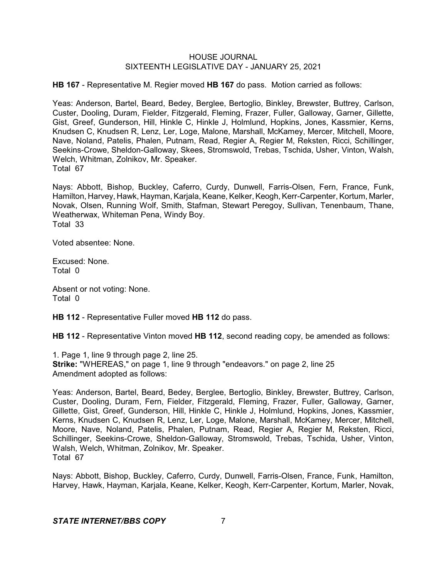**HB 167** - Representative M. Regier moved **HB 167** do pass. Motion carried as follows:

Yeas: Anderson, Bartel, Beard, Bedey, Berglee, Bertoglio, Binkley, Brewster, Buttrey, Carlson, Custer, Dooling, Duram, Fielder, Fitzgerald, Fleming, Frazer, Fuller, Galloway, Garner, Gillette, Gist, Greef, Gunderson, Hill, Hinkle C, Hinkle J, Holmlund, Hopkins, Jones, Kassmier, Kerns, Knudsen C, Knudsen R, Lenz, Ler, Loge, Malone, Marshall, McKamey, Mercer, Mitchell, Moore, Nave, Noland, Patelis, Phalen, Putnam, Read, Regier A, Regier M, Reksten, Ricci, Schillinger, Seekins-Crowe, Sheldon-Galloway, Skees, Stromswold, Trebas, Tschida, Usher, Vinton, Walsh, Welch, Whitman, Zolnikov, Mr. Speaker. Total 67

Nays: Abbott, Bishop, Buckley, Caferro, Curdy, Dunwell, Farris-Olsen, Fern, France, Funk, Hamilton, Harvey, Hawk, Hayman, Karjala, Keane, Kelker, Keogh, Kerr-Carpenter, Kortum, Marler, Novak, Olsen, Running Wolf, Smith, Stafman, Stewart Peregoy, Sullivan, Tenenbaum, Thane, Weatherwax, Whiteman Pena, Windy Boy. Total 33

Voted absentee: None.

Excused: None. Total 0

Absent or not voting: None. Total 0

**HB 112** - Representative Fuller moved **HB 112** do pass.

**HB 112** - Representative Vinton moved **HB 112**, second reading copy, be amended as follows:

1. Page 1, line 9 through page 2, line 25. **Strike:** "WHEREAS," on page 1, line 9 through "endeavors." on page 2, line 25 Amendment adopted as follows:

Yeas: Anderson, Bartel, Beard, Bedey, Berglee, Bertoglio, Binkley, Brewster, Buttrey, Carlson, Custer, Dooling, Duram, Fern, Fielder, Fitzgerald, Fleming, Frazer, Fuller, Galloway, Garner, Gillette, Gist, Greef, Gunderson, Hill, Hinkle C, Hinkle J, Holmlund, Hopkins, Jones, Kassmier, Kerns, Knudsen C, Knudsen R, Lenz, Ler, Loge, Malone, Marshall, McKamey, Mercer, Mitchell, Moore, Nave, Noland, Patelis, Phalen, Putnam, Read, Regier A, Regier M, Reksten, Ricci, Schillinger, Seekins-Crowe, Sheldon-Galloway, Stromswold, Trebas, Tschida, Usher, Vinton, Walsh, Welch, Whitman, Zolnikov, Mr. Speaker. Total 67

Nays: Abbott, Bishop, Buckley, Caferro, Curdy, Dunwell, Farris-Olsen, France, Funk, Hamilton, Harvey, Hawk, Hayman, Karjala, Keane, Kelker, Keogh, Kerr-Carpenter, Kortum, Marler, Novak,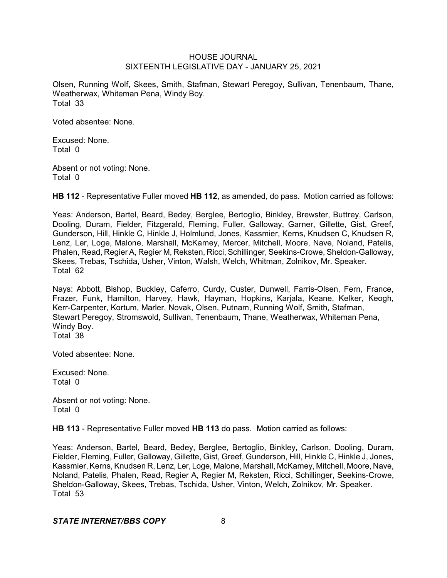Olsen, Running Wolf, Skees, Smith, Stafman, Stewart Peregoy, Sullivan, Tenenbaum, Thane, Weatherwax, Whiteman Pena, Windy Boy. Total 33

Voted absentee: None.

Excused: None. Total 0

Absent or not voting: None. Total 0

**HB 112** - Representative Fuller moved **HB 112**, as amended, do pass. Motion carried as follows:

Yeas: Anderson, Bartel, Beard, Bedey, Berglee, Bertoglio, Binkley, Brewster, Buttrey, Carlson, Dooling, Duram, Fielder, Fitzgerald, Fleming, Fuller, Galloway, Garner, Gillette, Gist, Greef, Gunderson, Hill, Hinkle C, Hinkle J, Holmlund, Jones, Kassmier, Kerns, Knudsen C, Knudsen R, Lenz, Ler, Loge, Malone, Marshall, McKamey, Mercer, Mitchell, Moore, Nave, Noland, Patelis, Phalen, Read, Regier A, Regier M, Reksten, Ricci, Schillinger, Seekins-Crowe, Sheldon-Galloway, Skees, Trebas, Tschida, Usher, Vinton, Walsh, Welch, Whitman, Zolnikov, Mr. Speaker. Total 62

Nays: Abbott, Bishop, Buckley, Caferro, Curdy, Custer, Dunwell, Farris-Olsen, Fern, France, Frazer, Funk, Hamilton, Harvey, Hawk, Hayman, Hopkins, Karjala, Keane, Kelker, Keogh, Kerr-Carpenter, Kortum, Marler, Novak, Olsen, Putnam, Running Wolf, Smith, Stafman, Stewart Peregoy, Stromswold, Sullivan, Tenenbaum, Thane, Weatherwax, Whiteman Pena, Windy Boy. Total 38

Voted absentee: None.

Excused: None. Total 0

Absent or not voting: None. Total 0

**HB 113** - Representative Fuller moved **HB 113** do pass. Motion carried as follows:

Yeas: Anderson, Bartel, Beard, Bedey, Berglee, Bertoglio, Binkley, Carlson, Dooling, Duram, Fielder, Fleming, Fuller, Galloway, Gillette, Gist, Greef, Gunderson, Hill, Hinkle C, Hinkle J, Jones, Kassmier, Kerns, Knudsen R, Lenz, Ler, Loge, Malone, Marshall, McKamey, Mitchell, Moore, Nave, Noland, Patelis, Phalen, Read, Regier A, Regier M, Reksten, Ricci, Schillinger, Seekins-Crowe, Sheldon-Galloway, Skees, Trebas, Tschida, Usher, Vinton, Welch, Zolnikov, Mr. Speaker. Total 53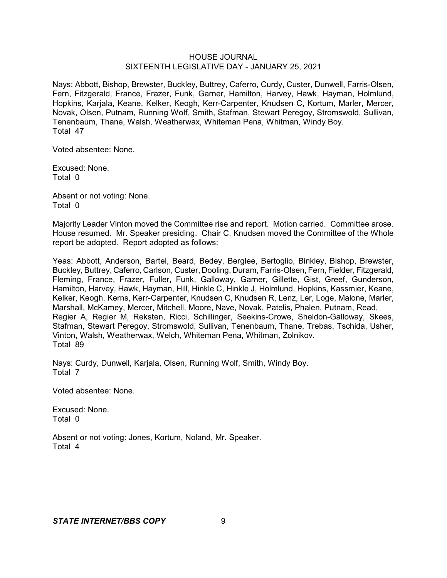Nays: Abbott, Bishop, Brewster, Buckley, Buttrey, Caferro, Curdy, Custer, Dunwell, Farris-Olsen, Fern, Fitzgerald, France, Frazer, Funk, Garner, Hamilton, Harvey, Hawk, Hayman, Holmlund, Hopkins, Karjala, Keane, Kelker, Keogh, Kerr-Carpenter, Knudsen C, Kortum, Marler, Mercer, Novak, Olsen, Putnam, Running Wolf, Smith, Stafman, Stewart Peregoy, Stromswold, Sullivan, Tenenbaum, Thane, Walsh, Weatherwax, Whiteman Pena, Whitman, Windy Boy. Total 47

Voted absentee: None.

Excused: None. Total 0

Absent or not voting: None. Total 0

Majority Leader Vinton moved the Committee rise and report. Motion carried. Committee arose. House resumed. Mr. Speaker presiding. Chair C. Knudsen moved the Committee of the Whole report be adopted. Report adopted as follows:

Yeas: Abbott, Anderson, Bartel, Beard, Bedey, Berglee, Bertoglio, Binkley, Bishop, Brewster, Buckley, Buttrey, Caferro, Carlson, Custer, Dooling, Duram, Farris-Olsen, Fern, Fielder, Fitzgerald, Fleming, France, Frazer, Fuller, Funk, Galloway, Garner, Gillette, Gist, Greef, Gunderson, Hamilton, Harvey, Hawk, Hayman, Hill, Hinkle C, Hinkle J, Holmlund, Hopkins, Kassmier, Keane, Kelker, Keogh, Kerns, Kerr-Carpenter, Knudsen C, Knudsen R, Lenz, Ler, Loge, Malone, Marler, Marshall, McKamey, Mercer, Mitchell, Moore, Nave, Novak, Patelis, Phalen, Putnam, Read, Regier A, Regier M, Reksten, Ricci, Schillinger, Seekins-Crowe, Sheldon-Galloway, Skees, Stafman, Stewart Peregoy, Stromswold, Sullivan, Tenenbaum, Thane, Trebas, Tschida, Usher, Vinton, Walsh, Weatherwax, Welch, Whiteman Pena, Whitman, Zolnikov. Total 89

Nays: Curdy, Dunwell, Karjala, Olsen, Running Wolf, Smith, Windy Boy. Total 7

Voted absentee: None.

Excused: None. Total 0

Absent or not voting: Jones, Kortum, Noland, Mr. Speaker. Total 4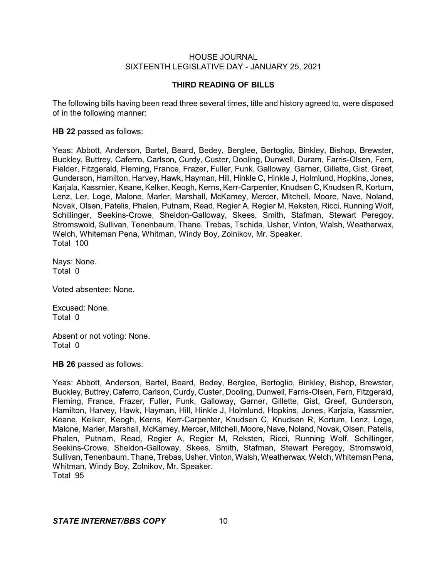# **THIRD READING OF BILLS**

The following bills having been read three several times, title and history agreed to, were disposed of in the following manner:

#### **HB 22** passed as follows:

Yeas: Abbott, Anderson, Bartel, Beard, Bedey, Berglee, Bertoglio, Binkley, Bishop, Brewster, Buckley, Buttrey, Caferro, Carlson, Curdy, Custer, Dooling, Dunwell, Duram, Farris-Olsen, Fern, Fielder, Fitzgerald, Fleming, France, Frazer, Fuller, Funk, Galloway, Garner, Gillette, Gist, Greef, Gunderson, Hamilton, Harvey, Hawk, Hayman, Hill, Hinkle C, Hinkle J, Holmlund, Hopkins, Jones, Karjala, Kassmier, Keane, Kelker, Keogh, Kerns, Kerr-Carpenter, Knudsen C, Knudsen R, Kortum, Lenz, Ler, Loge, Malone, Marler, Marshall, McKamey, Mercer, Mitchell, Moore, Nave, Noland, Novak, Olsen, Patelis, Phalen, Putnam, Read, Regier A, Regier M, Reksten, Ricci, Running Wolf, Schillinger, Seekins-Crowe, Sheldon-Galloway, Skees, Smith, Stafman, Stewart Peregoy, Stromswold, Sullivan, Tenenbaum, Thane, Trebas, Tschida, Usher, Vinton, Walsh, Weatherwax, Welch, Whiteman Pena, Whitman, Windy Boy, Zolnikov, Mr. Speaker. Total 100

Nays: None. Total 0

Voted absentee: None.

Excused: None. Total 0

Absent or not voting: None. Total 0

**HB 26** passed as follows:

Yeas: Abbott, Anderson, Bartel, Beard, Bedey, Berglee, Bertoglio, Binkley, Bishop, Brewster, Buckley, Buttrey, Caferro, Carlson, Curdy, Custer, Dooling, Dunwell, Farris-Olsen, Fern, Fitzgerald, Fleming, France, Frazer, Fuller, Funk, Galloway, Garner, Gillette, Gist, Greef, Gunderson, Hamilton, Harvey, Hawk, Hayman, Hill, Hinkle J, Holmlund, Hopkins, Jones, Karjala, Kassmier, Keane, Kelker, Keogh, Kerns, Kerr-Carpenter, Knudsen C, Knudsen R, Kortum, Lenz, Loge, Malone, Marler, Marshall, McKamey, Mercer, Mitchell, Moore, Nave, Noland, Novak, Olsen, Patelis, Phalen, Putnam, Read, Regier A, Regier M, Reksten, Ricci, Running Wolf, Schillinger, Seekins-Crowe, Sheldon-Galloway, Skees, Smith, Stafman, Stewart Peregoy, Stromswold, Sullivan, Tenenbaum, Thane, Trebas, Usher,Vinton, Walsh, Weatherwax, Welch, Whiteman Pena, Whitman, Windy Boy, Zolnikov, Mr. Speaker. Total 95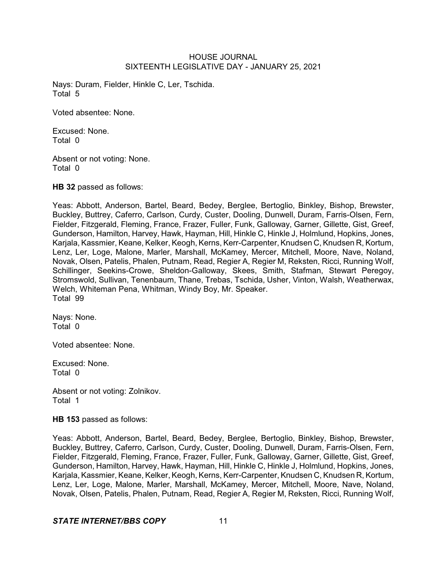Nays: Duram, Fielder, Hinkle C, Ler, Tschida. Total 5

Voted absentee: None.

Excused: None. Total 0

Absent or not voting: None. Total 0

**HB 32** passed as follows:

Yeas: Abbott, Anderson, Bartel, Beard, Bedey, Berglee, Bertoglio, Binkley, Bishop, Brewster, Buckley, Buttrey, Caferro, Carlson, Curdy, Custer, Dooling, Dunwell, Duram, Farris-Olsen, Fern, Fielder, Fitzgerald, Fleming, France, Frazer, Fuller, Funk, Galloway, Garner, Gillette, Gist, Greef, Gunderson, Hamilton, Harvey, Hawk, Hayman, Hill, Hinkle C, Hinkle J, Holmlund, Hopkins, Jones, Karjala, Kassmier, Keane, Kelker, Keogh, Kerns, Kerr-Carpenter, Knudsen C, Knudsen R, Kortum, Lenz, Ler, Loge, Malone, Marler, Marshall, McKamey, Mercer, Mitchell, Moore, Nave, Noland, Novak, Olsen, Patelis, Phalen, Putnam, Read, Regier A, Regier M, Reksten, Ricci, Running Wolf, Schillinger, Seekins-Crowe, Sheldon-Galloway, Skees, Smith, Stafman, Stewart Peregoy, Stromswold, Sullivan, Tenenbaum, Thane, Trebas, Tschida, Usher, Vinton, Walsh, Weatherwax, Welch, Whiteman Pena, Whitman, Windy Boy, Mr. Speaker. Total 99

Nays: None. Total 0

Voted absentee: None.

Excused: None. Total 0

Absent or not voting: Zolnikov. Total 1

**HB 153** passed as follows:

Yeas: Abbott, Anderson, Bartel, Beard, Bedey, Berglee, Bertoglio, Binkley, Bishop, Brewster, Buckley, Buttrey, Caferro, Carlson, Curdy, Custer, Dooling, Dunwell, Duram, Farris-Olsen, Fern, Fielder, Fitzgerald, Fleming, France, Frazer, Fuller, Funk, Galloway, Garner, Gillette, Gist, Greef, Gunderson, Hamilton, Harvey, Hawk, Hayman, Hill, Hinkle C, Hinkle J, Holmlund, Hopkins, Jones, Karjala, Kassmier, Keane, Kelker, Keogh, Kerns, Kerr-Carpenter, Knudsen C, Knudsen R, Kortum, Lenz, Ler, Loge, Malone, Marler, Marshall, McKamey, Mercer, Mitchell, Moore, Nave, Noland, Novak, Olsen, Patelis, Phalen, Putnam, Read, Regier A, Regier M, Reksten, Ricci, Running Wolf,